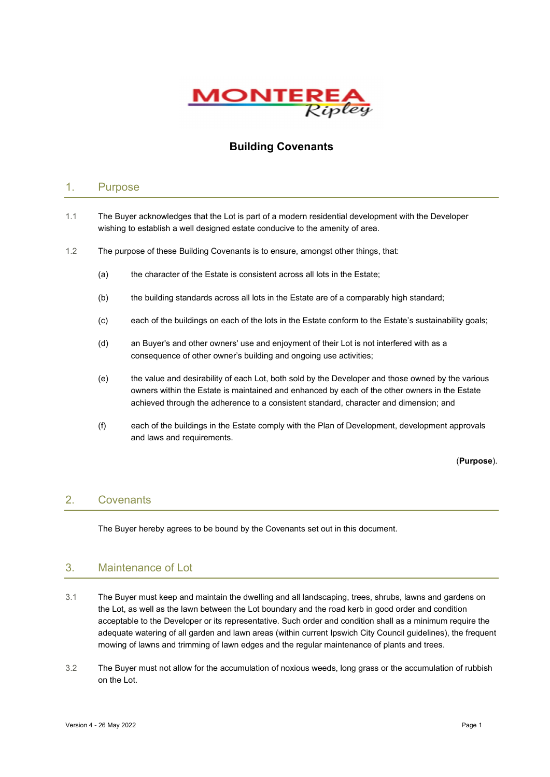

# Building Covenants

#### 1. Purpose

- 1.1 The Buyer acknowledges that the Lot is part of a modern residential development with the Developer wishing to establish a well designed estate conducive to the amenity of area.
- 1.2 The purpose of these Building Covenants is to ensure, amongst other things, that:
	- (a) the character of the Estate is consistent across all lots in the Estate;
	- (b) the building standards across all lots in the Estate are of a comparably high standard;
	- (c) each of the buildings on each of the lots in the Estate conform to the Estate's sustainability goals;
	- (d) an Buyer's and other owners' use and enjoyment of their Lot is not interfered with as a consequence of other owner's building and ongoing use activities;
	- (e) the value and desirability of each Lot, both sold by the Developer and those owned by the various owners within the Estate is maintained and enhanced by each of the other owners in the Estate achieved through the adherence to a consistent standard, character and dimension; and
	- (f) each of the buildings in the Estate comply with the Plan of Development, development approvals and laws and requirements.

(Purpose).

# 2. Covenants

The Buyer hereby agrees to be bound by the Covenants set out in this document.

# 3. Maintenance of Lot

- 3.1 The Buyer must keep and maintain the dwelling and all landscaping, trees, shrubs, lawns and gardens on the Lot, as well as the lawn between the Lot boundary and the road kerb in good order and condition acceptable to the Developer or its representative. Such order and condition shall as a minimum require the adequate watering of all garden and lawn areas (within current Ipswich City Council guidelines), the frequent mowing of lawns and trimming of lawn edges and the regular maintenance of plants and trees.
- 3.2 The Buyer must not allow for the accumulation of noxious weeds, long grass or the accumulation of rubbish on the Lot.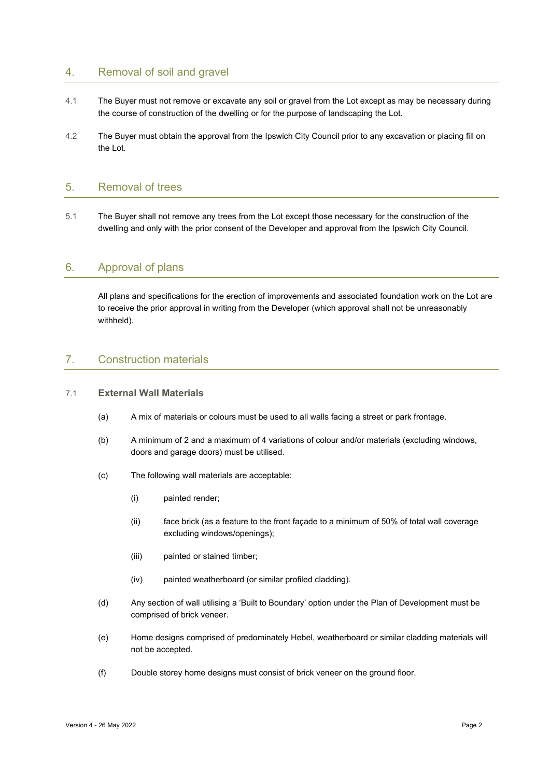# 4. Removal of soil and gravel

- 4.1 The Buyer must not remove or excavate any soil or gravel from the Lot except as may be necessary during the course of construction of the dwelling or for the purpose of landscaping the Lot.
- 4.2 The Buyer must obtain the approval from the Ipswich City Council prior to any excavation or placing fill on the Lot.

#### 5. Removal of trees

5.1 The Buyer shall not remove any trees from the Lot except those necessary for the construction of the dwelling and only with the prior consent of the Developer and approval from the Ipswich City Council.

# 6. Approval of plans

All plans and specifications for the erection of improvements and associated foundation work on the Lot are to receive the prior approval in writing from the Developer (which approval shall not be unreasonably withheld).

# 7. Construction materials

#### 7.1 External Wall Materials

- (a) A mix of materials or colours must be used to all walls facing a street or park frontage.
- (b) A minimum of 2 and a maximum of 4 variations of colour and/or materials (excluding windows, doors and garage doors) must be utilised.
- (c) The following wall materials are acceptable:
	- (i) painted render;
	- (ii) face brick (as a feature to the front façade to a minimum of 50% of total wall coverage excluding windows/openings);
	- (iii) painted or stained timber;
	- (iv) painted weatherboard (or similar profiled cladding).
- (d) Any section of wall utilising a 'Built to Boundary' option under the Plan of Development must be comprised of brick veneer.
- (e) Home designs comprised of predominately Hebel, weatherboard or similar cladding materials will not be accepted.
- (f) Double storey home designs must consist of brick veneer on the ground floor.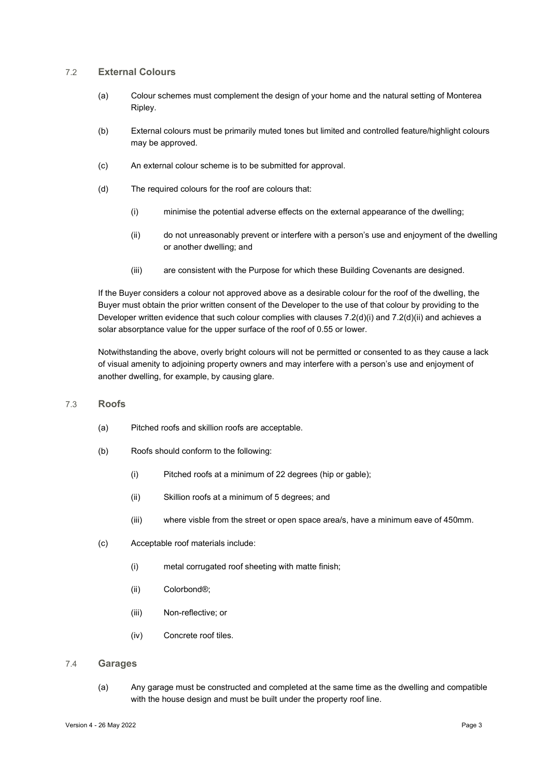#### 7.2 External Colours

- (a) Colour schemes must complement the design of your home and the natural setting of Monterea Ripley.
- (b) External colours must be primarily muted tones but limited and controlled feature/highlight colours may be approved.
- (c) An external colour scheme is to be submitted for approval.
- (d) The required colours for the roof are colours that:
	- (i) minimise the potential adverse effects on the external appearance of the dwelling;
	- (ii) do not unreasonably prevent or interfere with a person's use and enjoyment of the dwelling or another dwelling; and
	- (iii) are consistent with the Purpose for which these Building Covenants are designed.

If the Buyer considers a colour not approved above as a desirable colour for the roof of the dwelling, the Buyer must obtain the prior written consent of the Developer to the use of that colour by providing to the Developer written evidence that such colour complies with clauses 7.2(d)(i) and 7.2(d)(ii) and achieves a solar absorptance value for the upper surface of the roof of 0.55 or lower.

Notwithstanding the above, overly bright colours will not be permitted or consented to as they cause a lack of visual amenity to adjoining property owners and may interfere with a person's use and enjoyment of another dwelling, for example, by causing glare.

#### 7.3 Roofs

- (a) Pitched roofs and skillion roofs are acceptable.
- (b) Roofs should conform to the following:
	- (i) Pitched roofs at a minimum of 22 degrees (hip or gable);
	- (ii) Skillion roofs at a minimum of 5 degrees; and
	- (iii) where visble from the street or open space area/s, have a minimum eave of 450mm.
- (c) Acceptable roof materials include:
	- (i) metal corrugated roof sheeting with matte finish;
	- (ii) Colorbond®;
	- (iii) Non-reflective; or
	- (iv) Concrete roof tiles.

#### 7.4 Garages

(a) Any garage must be constructed and completed at the same time as the dwelling and compatible with the house design and must be built under the property roof line.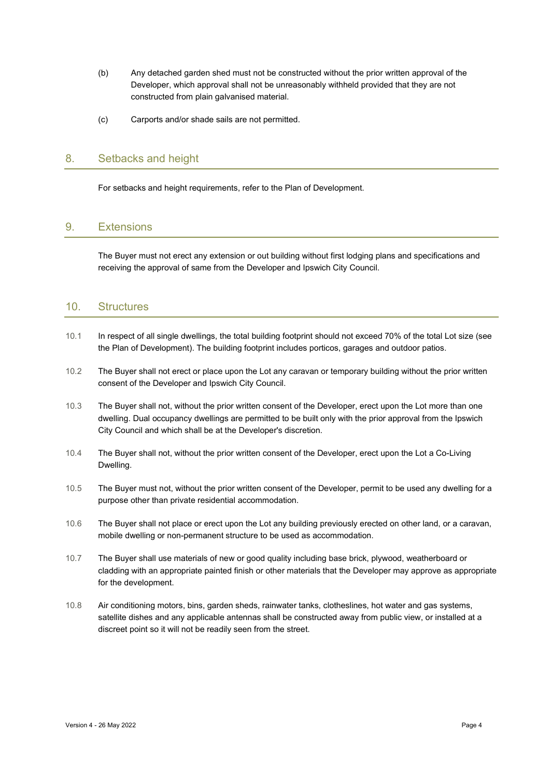- (b) Any detached garden shed must not be constructed without the prior written approval of the Developer, which approval shall not be unreasonably withheld provided that they are not constructed from plain galvanised material.
- (c) Carports and/or shade sails are not permitted.

#### 8. Setbacks and height

For setbacks and height requirements, refer to the Plan of Development.

# 9. Extensions

The Buyer must not erect any extension or out building without first lodging plans and specifications and receiving the approval of same from the Developer and Ipswich City Council.

#### 10. Structures

- 10.1 In respect of all single dwellings, the total building footprint should not exceed 70% of the total Lot size (see the Plan of Development). The building footprint includes porticos, garages and outdoor patios.
- 10.2 The Buyer shall not erect or place upon the Lot any caravan or temporary building without the prior written consent of the Developer and Ipswich City Council.
- 10.3 The Buyer shall not, without the prior written consent of the Developer, erect upon the Lot more than one dwelling. Dual occupancy dwellings are permitted to be built only with the prior approval from the Ipswich City Council and which shall be at the Developer's discretion.
- 10.4 The Buyer shall not, without the prior written consent of the Developer, erect upon the Lot a Co-Living Dwelling.
- 10.5 The Buyer must not, without the prior written consent of the Developer, permit to be used any dwelling for a purpose other than private residential accommodation.
- 10.6 The Buyer shall not place or erect upon the Lot any building previously erected on other land, or a caravan, mobile dwelling or non-permanent structure to be used as accommodation.
- 10.7 The Buyer shall use materials of new or good quality including base brick, plywood, weatherboard or cladding with an appropriate painted finish or other materials that the Developer may approve as appropriate for the development.
- 10.8 Air conditioning motors, bins, garden sheds, rainwater tanks, clotheslines, hot water and gas systems, satellite dishes and any applicable antennas shall be constructed away from public view, or installed at a discreet point so it will not be readily seen from the street.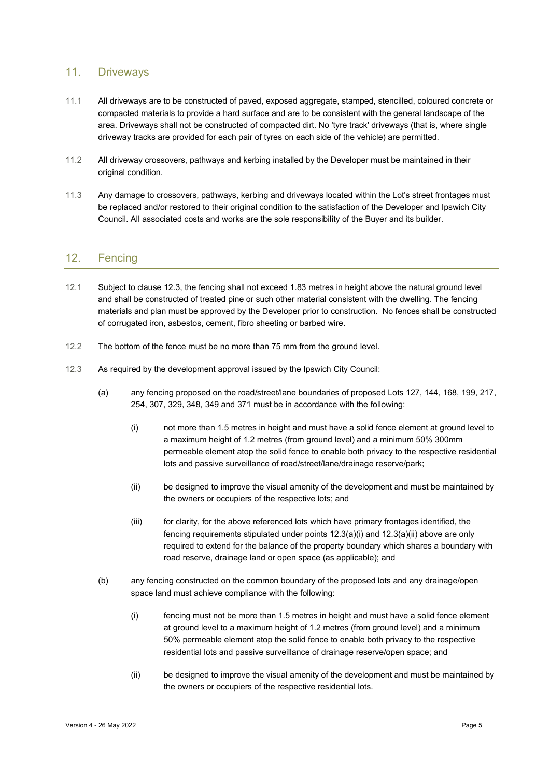#### 11. Driveways

- 11.1 All driveways are to be constructed of paved, exposed aggregate, stamped, stencilled, coloured concrete or compacted materials to provide a hard surface and are to be consistent with the general landscape of the area. Driveways shall not be constructed of compacted dirt. No 'tyre track' driveways (that is, where single driveway tracks are provided for each pair of tyres on each side of the vehicle) are permitted.
- 11.2 All driveway crossovers, pathways and kerbing installed by the Developer must be maintained in their original condition.
- 11.3 Any damage to crossovers, pathways, kerbing and driveways located within the Lot's street frontages must be replaced and/or restored to their original condition to the satisfaction of the Developer and Ipswich City Council. All associated costs and works are the sole responsibility of the Buyer and its builder.

## 12. Fencing

- 12.1 Subject to clause 12.3, the fencing shall not exceed 1.83 metres in height above the natural ground level and shall be constructed of treated pine or such other material consistent with the dwelling. The fencing materials and plan must be approved by the Developer prior to construction. No fences shall be constructed of corrugated iron, asbestos, cement, fibro sheeting or barbed wire.
- 12.2 The bottom of the fence must be no more than 75 mm from the ground level.
- 12.3 As required by the development approval issued by the Ipswich City Council:
	- (a) any fencing proposed on the road/street/lane boundaries of proposed Lots 127, 144, 168, 199, 217, 254, 307, 329, 348, 349 and 371 must be in accordance with the following:
		- (i) not more than 1.5 metres in height and must have a solid fence element at ground level to a maximum height of 1.2 metres (from ground level) and a minimum 50% 300mm permeable element atop the solid fence to enable both privacy to the respective residential lots and passive surveillance of road/street/lane/drainage reserve/park;
		- (ii) be designed to improve the visual amenity of the development and must be maintained by the owners or occupiers of the respective lots; and
		- (iii) for clarity, for the above referenced lots which have primary frontages identified, the fencing requirements stipulated under points 12.3(a)(i) and 12.3(a)(ii) above are only required to extend for the balance of the property boundary which shares a boundary with road reserve, drainage land or open space (as applicable); and
	- (b) any fencing constructed on the common boundary of the proposed lots and any drainage/open space land must achieve compliance with the following:
		- (i) fencing must not be more than 1.5 metres in height and must have a solid fence element at ground level to a maximum height of 1.2 metres (from ground level) and a minimum 50% permeable element atop the solid fence to enable both privacy to the respective residential lots and passive surveillance of drainage reserve/open space; and
		- (ii) be designed to improve the visual amenity of the development and must be maintained by the owners or occupiers of the respective residential lots.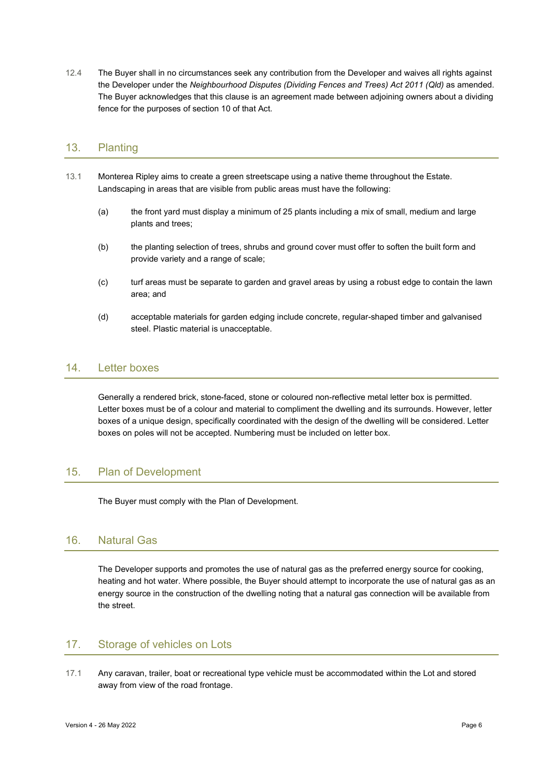12.4 The Buyer shall in no circumstances seek any contribution from the Developer and waives all rights against the Developer under the Neighbourhood Disputes (Dividing Fences and Trees) Act 2011 (Qld) as amended. The Buyer acknowledges that this clause is an agreement made between adjoining owners about a dividing fence for the purposes of section 10 of that Act.

# 13. Planting

- 13.1 Monterea Ripley aims to create a green streetscape using a native theme throughout the Estate. Landscaping in areas that are visible from public areas must have the following:
	- (a) the front yard must display a minimum of 25 plants including a mix of small, medium and large plants and trees;
	- (b) the planting selection of trees, shrubs and ground cover must offer to soften the built form and provide variety and a range of scale;
	- (c) turf areas must be separate to garden and gravel areas by using a robust edge to contain the lawn area; and
	- (d) acceptable materials for garden edging include concrete, regular-shaped timber and galvanised steel. Plastic material is unacceptable.

#### 14. Letter boxes

Generally a rendered brick, stone-faced, stone or coloured non-reflective metal letter box is permitted. Letter boxes must be of a colour and material to compliment the dwelling and its surrounds. However, letter boxes of a unique design, specifically coordinated with the design of the dwelling will be considered. Letter boxes on poles will not be accepted. Numbering must be included on letter box.

# 15. Plan of Development

The Buyer must comply with the Plan of Development.

# 16. Natural Gas

The Developer supports and promotes the use of natural gas as the preferred energy source for cooking, heating and hot water. Where possible, the Buyer should attempt to incorporate the use of natural gas as an energy source in the construction of the dwelling noting that a natural gas connection will be available from the street.

# 17. Storage of vehicles on Lots

17.1 Any caravan, trailer, boat or recreational type vehicle must be accommodated within the Lot and stored away from view of the road frontage.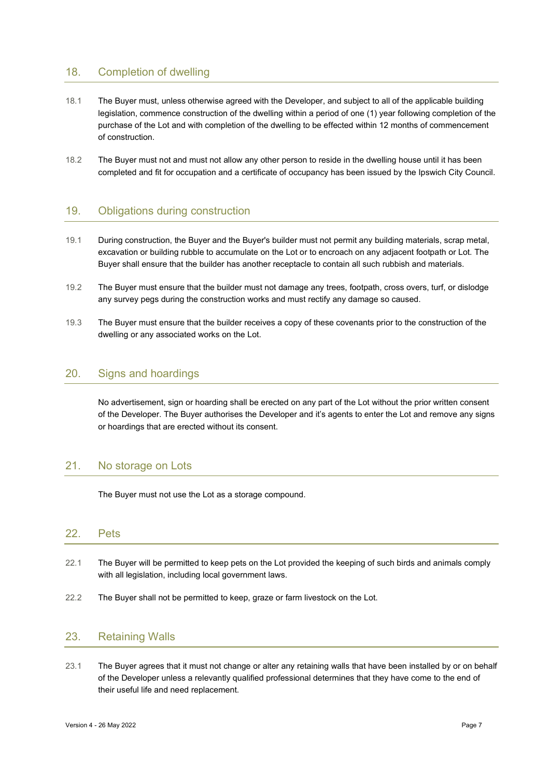# 18. Completion of dwelling

- 18.1 The Buyer must, unless otherwise agreed with the Developer, and subject to all of the applicable building legislation, commence construction of the dwelling within a period of one (1) year following completion of the purchase of the Lot and with completion of the dwelling to be effected within 12 months of commencement of construction.
- 18.2 The Buyer must not and must not allow any other person to reside in the dwelling house until it has been completed and fit for occupation and a certificate of occupancy has been issued by the Ipswich City Council.

# 19. Obligations during construction

- 19.1 During construction, the Buyer and the Buyer's builder must not permit any building materials, scrap metal, excavation or building rubble to accumulate on the Lot or to encroach on any adjacent footpath or Lot. The Buyer shall ensure that the builder has another receptacle to contain all such rubbish and materials.
- 19.2 The Buyer must ensure that the builder must not damage any trees, footpath, cross overs, turf, or dislodge any survey pegs during the construction works and must rectify any damage so caused.
- 19.3 The Buyer must ensure that the builder receives a copy of these covenants prior to the construction of the dwelling or any associated works on the Lot.

#### 20. Signs and hoardings

No advertisement, sign or hoarding shall be erected on any part of the Lot without the prior written consent of the Developer. The Buyer authorises the Developer and it's agents to enter the Lot and remove any signs or hoardings that are erected without its consent.

# 21. No storage on Lots

The Buyer must not use the Lot as a storage compound.

#### 22. Pets

- 22.1 The Buyer will be permitted to keep pets on the Lot provided the keeping of such birds and animals comply with all legislation, including local government laws.
- 22.2 The Buyer shall not be permitted to keep, graze or farm livestock on the Lot.

## 23. Retaining Walls

23.1 The Buyer agrees that it must not change or alter any retaining walls that have been installed by or on behalf of the Developer unless a relevantly qualified professional determines that they have come to the end of their useful life and need replacement.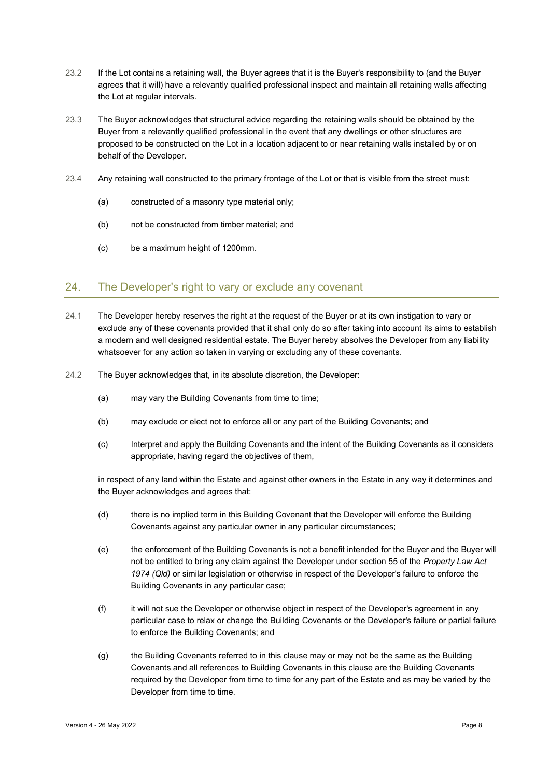- 23.2 If the Lot contains a retaining wall, the Buyer agrees that it is the Buyer's responsibility to (and the Buyer agrees that it will) have a relevantly qualified professional inspect and maintain all retaining walls affecting the Lot at regular intervals.
- 23.3 The Buyer acknowledges that structural advice regarding the retaining walls should be obtained by the Buyer from a relevantly qualified professional in the event that any dwellings or other structures are proposed to be constructed on the Lot in a location adjacent to or near retaining walls installed by or on behalf of the Developer.
- 23.4 Any retaining wall constructed to the primary frontage of the Lot or that is visible from the street must:
	- (a) constructed of a masonry type material only;
	- (b) not be constructed from timber material; and
	- (c) be a maximum height of 1200mm.

#### 24. The Developer's right to vary or exclude any covenant

- 24.1 The Developer hereby reserves the right at the request of the Buyer or at its own instigation to vary or exclude any of these covenants provided that it shall only do so after taking into account its aims to establish a modern and well designed residential estate. The Buyer hereby absolves the Developer from any liability whatsoever for any action so taken in varying or excluding any of these covenants.
- 24.2 The Buyer acknowledges that, in its absolute discretion, the Developer:
	- (a) may vary the Building Covenants from time to time;
	- (b) may exclude or elect not to enforce all or any part of the Building Covenants; and
	- (c) Interpret and apply the Building Covenants and the intent of the Building Covenants as it considers appropriate, having regard the objectives of them,

in respect of any land within the Estate and against other owners in the Estate in any way it determines and the Buyer acknowledges and agrees that:

- (d) there is no implied term in this Building Covenant that the Developer will enforce the Building Covenants against any particular owner in any particular circumstances;
- (e) the enforcement of the Building Covenants is not a benefit intended for the Buyer and the Buyer will not be entitled to bring any claim against the Developer under section 55 of the Property Law Act 1974 (Qld) or similar legislation or otherwise in respect of the Developer's failure to enforce the Building Covenants in any particular case;
- (f) it will not sue the Developer or otherwise object in respect of the Developer's agreement in any particular case to relax or change the Building Covenants or the Developer's failure or partial failure to enforce the Building Covenants; and
- (g) the Building Covenants referred to in this clause may or may not be the same as the Building Covenants and all references to Building Covenants in this clause are the Building Covenants required by the Developer from time to time for any part of the Estate and as may be varied by the Developer from time to time.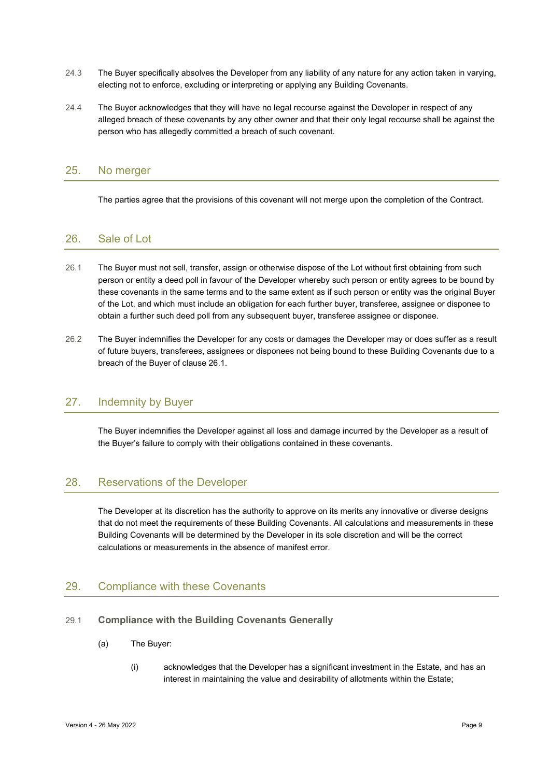- 24.3 The Buyer specifically absolves the Developer from any liability of any nature for any action taken in varying, electing not to enforce, excluding or interpreting or applying any Building Covenants.
- 24.4 The Buyer acknowledges that they will have no legal recourse against the Developer in respect of any alleged breach of these covenants by any other owner and that their only legal recourse shall be against the person who has allegedly committed a breach of such covenant.

# 25. No merger

The parties agree that the provisions of this covenant will not merge upon the completion of the Contract.

## 26. Sale of Lot

- 26.1 The Buyer must not sell, transfer, assign or otherwise dispose of the Lot without first obtaining from such person or entity a deed poll in favour of the Developer whereby such person or entity agrees to be bound by these covenants in the same terms and to the same extent as if such person or entity was the original Buyer of the Lot, and which must include an obligation for each further buyer, transferee, assignee or disponee to obtain a further such deed poll from any subsequent buyer, transferee assignee or disponee.
- 26.2 The Buyer indemnifies the Developer for any costs or damages the Developer may or does suffer as a result of future buyers, transferees, assignees or disponees not being bound to these Building Covenants due to a breach of the Buyer of clause 26.1.

#### 27. Indemnity by Buyer

The Buyer indemnifies the Developer against all loss and damage incurred by the Developer as a result of the Buyer's failure to comply with their obligations contained in these covenants.

# 28. Reservations of the Developer

The Developer at its discretion has the authority to approve on its merits any innovative or diverse designs that do not meet the requirements of these Building Covenants. All calculations and measurements in these Building Covenants will be determined by the Developer in its sole discretion and will be the correct calculations or measurements in the absence of manifest error.

#### 29. Compliance with these Covenants

- 29.1 Compliance with the Building Covenants Generally
	- (a) The Buyer:
		- (i) acknowledges that the Developer has a significant investment in the Estate, and has an interest in maintaining the value and desirability of allotments within the Estate;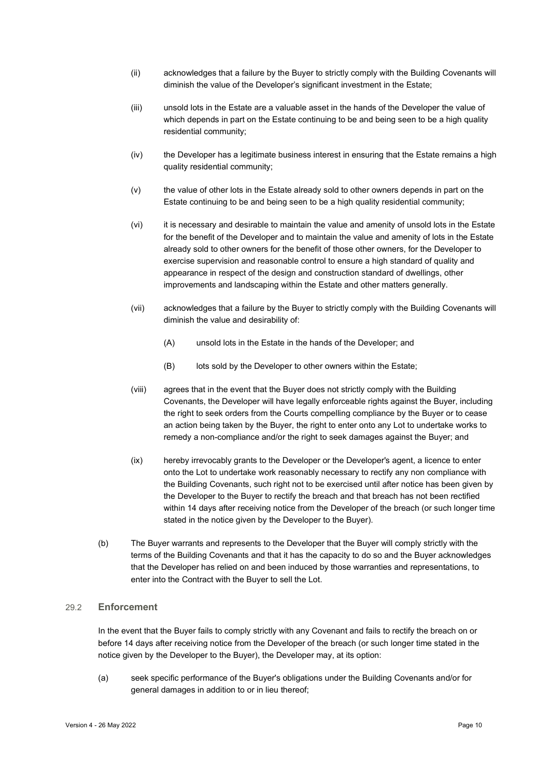- (ii) acknowledges that a failure by the Buyer to strictly comply with the Building Covenants will diminish the value of the Developer's significant investment in the Estate;
- (iii) unsold lots in the Estate are a valuable asset in the hands of the Developer the value of which depends in part on the Estate continuing to be and being seen to be a high quality residential community;
- (iv) the Developer has a legitimate business interest in ensuring that the Estate remains a high quality residential community;
- (v) the value of other lots in the Estate already sold to other owners depends in part on the Estate continuing to be and being seen to be a high quality residential community;
- (vi) it is necessary and desirable to maintain the value and amenity of unsold lots in the Estate for the benefit of the Developer and to maintain the value and amenity of lots in the Estate already sold to other owners for the benefit of those other owners, for the Developer to exercise supervision and reasonable control to ensure a high standard of quality and appearance in respect of the design and construction standard of dwellings, other improvements and landscaping within the Estate and other matters generally.
- (vii) acknowledges that a failure by the Buyer to strictly comply with the Building Covenants will diminish the value and desirability of:
	- (A) unsold lots in the Estate in the hands of the Developer; and
	- (B) lots sold by the Developer to other owners within the Estate;
- (viii) agrees that in the event that the Buyer does not strictly comply with the Building Covenants, the Developer will have legally enforceable rights against the Buyer, including the right to seek orders from the Courts compelling compliance by the Buyer or to cease an action being taken by the Buyer, the right to enter onto any Lot to undertake works to remedy a non-compliance and/or the right to seek damages against the Buyer; and
- (ix) hereby irrevocably grants to the Developer or the Developer's agent, a licence to enter onto the Lot to undertake work reasonably necessary to rectify any non compliance with the Building Covenants, such right not to be exercised until after notice has been given by the Developer to the Buyer to rectify the breach and that breach has not been rectified within 14 days after receiving notice from the Developer of the breach (or such longer time stated in the notice given by the Developer to the Buyer).
- (b) The Buyer warrants and represents to the Developer that the Buyer will comply strictly with the terms of the Building Covenants and that it has the capacity to do so and the Buyer acknowledges that the Developer has relied on and been induced by those warranties and representations, to enter into the Contract with the Buyer to sell the Lot.

#### 29.2 Enforcement

In the event that the Buyer fails to comply strictly with any Covenant and fails to rectify the breach on or before 14 days after receiving notice from the Developer of the breach (or such longer time stated in the notice given by the Developer to the Buyer), the Developer may, at its option:

(a) seek specific performance of the Buyer's obligations under the Building Covenants and/or for general damages in addition to or in lieu thereof;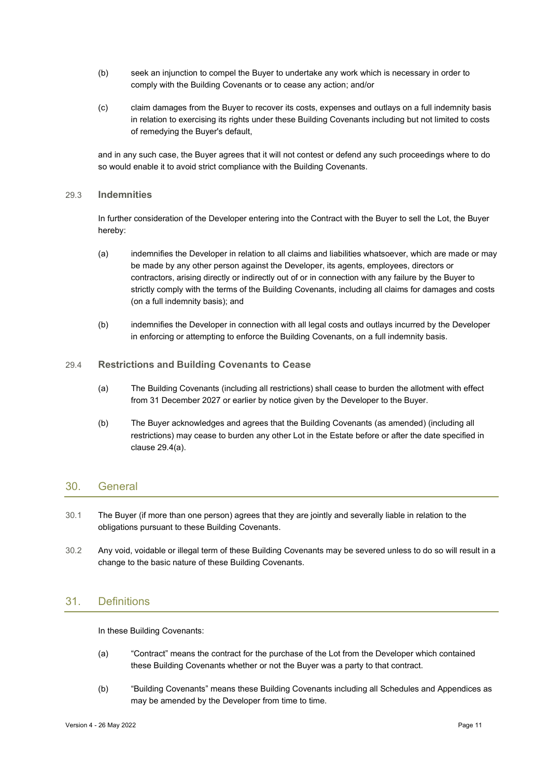- (b) seek an injunction to compel the Buyer to undertake any work which is necessary in order to comply with the Building Covenants or to cease any action; and/or
- (c) claim damages from the Buyer to recover its costs, expenses and outlays on a full indemnity basis in relation to exercising its rights under these Building Covenants including but not limited to costs of remedying the Buyer's default,

and in any such case, the Buyer agrees that it will not contest or defend any such proceedings where to do so would enable it to avoid strict compliance with the Building Covenants.

#### 29.3 Indemnities

In further consideration of the Developer entering into the Contract with the Buyer to sell the Lot, the Buyer hereby:

- (a) indemnifies the Developer in relation to all claims and liabilities whatsoever, which are made or may be made by any other person against the Developer, its agents, employees, directors or contractors, arising directly or indirectly out of or in connection with any failure by the Buyer to strictly comply with the terms of the Building Covenants, including all claims for damages and costs (on a full indemnity basis); and
- (b) indemnifies the Developer in connection with all legal costs and outlays incurred by the Developer in enforcing or attempting to enforce the Building Covenants, on a full indemnity basis.

#### 29.4 Restrictions and Building Covenants to Cease

- (a) The Building Covenants (including all restrictions) shall cease to burden the allotment with effect from 31 December 2027 or earlier by notice given by the Developer to the Buyer.
- (b) The Buyer acknowledges and agrees that the Building Covenants (as amended) (including all restrictions) may cease to burden any other Lot in the Estate before or after the date specified in clause 29.4(a).

# 30. General

- 30.1 The Buyer (if more than one person) agrees that they are jointly and severally liable in relation to the obligations pursuant to these Building Covenants.
- 30.2 Any void, voidable or illegal term of these Building Covenants may be severed unless to do so will result in a change to the basic nature of these Building Covenants.

# 31. Definitions

In these Building Covenants:

- (a) "Contract" means the contract for the purchase of the Lot from the Developer which contained these Building Covenants whether or not the Buyer was a party to that contract.
- (b) "Building Covenants" means these Building Covenants including all Schedules and Appendices as may be amended by the Developer from time to time.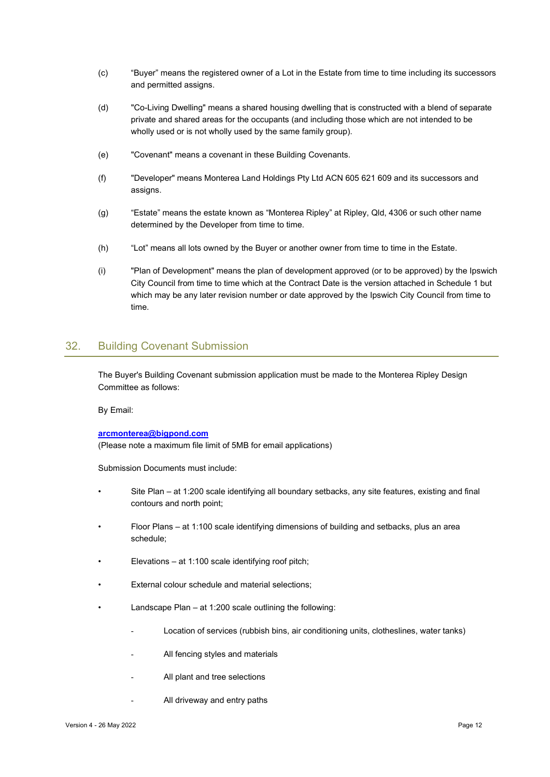- (c) "Buyer" means the registered owner of a Lot in the Estate from time to time including its successors and permitted assigns.
- (d) "Co-Living Dwelling" means a shared housing dwelling that is constructed with a blend of separate private and shared areas for the occupants (and including those which are not intended to be wholly used or is not wholly used by the same family group).
- (e) "Covenant" means a covenant in these Building Covenants.
- (f) "Developer" means Monterea Land Holdings Pty Ltd ACN 605 621 609 and its successors and assigns.
- (g) "Estate" means the estate known as "Monterea Ripley" at Ripley, Qld, 4306 or such other name determined by the Developer from time to time.
- (h) "Lot" means all lots owned by the Buyer or another owner from time to time in the Estate.
- (i) "Plan of Development" means the plan of development approved (or to be approved) by the Ipswich City Council from time to time which at the Contract Date is the version attached in Schedule 1 but which may be any later revision number or date approved by the Ipswich City Council from time to time.

# 32. Building Covenant Submission

The Buyer's Building Covenant submission application must be made to the Monterea Ripley Design Committee as follows:

By Email:

#### arcmonterea@bigpond.com

(Please note a maximum file limit of 5MB for email applications)

Submission Documents must include:

- Site Plan at 1:200 scale identifying all boundary setbacks, any site features, existing and final contours and north point;
- Floor Plans at 1:100 scale identifying dimensions of building and setbacks, plus an area schedule;
- Elevations at  $1:100$  scale identifying roof pitch;
- External colour schedule and material selections:
- Landscape Plan  $-$  at 1:200 scale outlining the following:
	- Location of services (rubbish bins, air conditioning units, clotheslines, water tanks)
	- All fencing styles and materials
	- All plant and tree selections
	- All driveway and entry paths